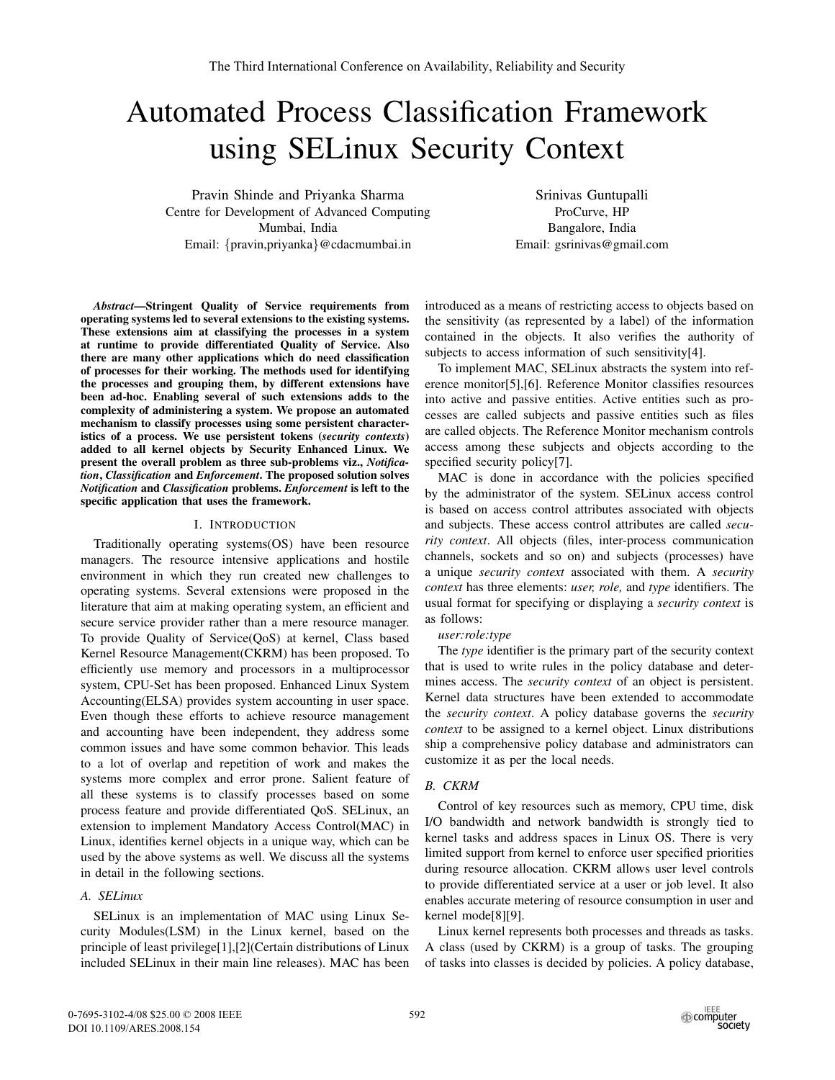# Automated Process Classification Framework using SELinux Security Context

Pravin Shinde and Priyanka Sharma Centre for Development of Advanced Computing Mumbai, India Email: {pravin,priyanka}@cdacmumbai.in

Srinivas Guntupalli ProCurve, HP Bangalore, India Email: gsrinivas@gmail.com

*Abstract*—Stringent Quality of Service requirements from operating systems led to several extensions to the existing systems. These extensions aim at classifying the processes in a system at runtime to provide differentiated Quality of Service. Also there are many other applications which do need classification of processes for their working. The methods used for identifying the processes and grouping them, by different extensions have been ad-hoc. Enabling several of such extensions adds to the complexity of administering a system. We propose an automated mechanism to classify processes using some persistent characteristics of a process. We use persistent tokens (*security contexts*) added to all kernel objects by Security Enhanced Linux. We present the overall problem as three sub-problems viz., *Notification*, *Classification* and *Enforcement*. The proposed solution solves *Notification* and *Classification* problems. *Enforcement* is left to the specific application that uses the framework.

#### I. INTRODUCTION

Traditionally operating systems(OS) have been resource managers. The resource intensive applications and hostile environment in which they run created new challenges to operating systems. Several extensions were proposed in the literature that aim at making operating system, an efficient and secure service provider rather than a mere resource manager. To provide Quality of Service(QoS) at kernel, Class based Kernel Resource Management(CKRM) has been proposed. To efficiently use memory and processors in a multiprocessor system, CPU-Set has been proposed. Enhanced Linux System Accounting(ELSA) provides system accounting in user space. Even though these efforts to achieve resource management and accounting have been independent, they address some common issues and have some common behavior. This leads to a lot of overlap and repetition of work and makes the systems more complex and error prone. Salient feature of all these systems is to classify processes based on some process feature and provide differentiated QoS. SELinux, an extension to implement Mandatory Access Control(MAC) in Linux, identifies kernel objects in a unique way, which can be used by the above systems as well. We discuss all the systems in detail in the following sections.

# *A. SELinux*

SELinux is an implementation of MAC using Linux Security Modules(LSM) in the Linux kernel, based on the principle of least privilege[1],[2](Certain distributions of Linux included SELinux in their main line releases). MAC has been

introduced as a means of restricting access to objects based on the sensitivity (as represented by a label) of the information contained in the objects. It also verifies the authority of subjects to access information of such sensitivity[4].

To implement MAC, SELinux abstracts the system into reference monitor[5],[6]. Reference Monitor classifies resources into active and passive entities. Active entities such as processes are called subjects and passive entities such as files are called objects. The Reference Monitor mechanism controls access among these subjects and objects according to the specified security policy[7].

MAC is done in accordance with the policies specified by the administrator of the system. SELinux access control is based on access control attributes associated with objects and subjects. These access control attributes are called *security context*. All objects (files, inter-process communication channels, sockets and so on) and subjects (processes) have a unique *security context* associated with them. A *security context* has three elements: *user, role,* and *type* identifiers. The usual format for specifying or displaying a *security context* is as follows:

# *user:role:type*

The *type* identifier is the primary part of the security context that is used to write rules in the policy database and determines access. The *security context* of an object is persistent. Kernel data structures have been extended to accommodate the *security context*. A policy database governs the *security context* to be assigned to a kernel object. Linux distributions ship a comprehensive policy database and administrators can customize it as per the local needs.

# *B. CKRM*

Control of key resources such as memory, CPU time, disk I/O bandwidth and network bandwidth is strongly tied to kernel tasks and address spaces in Linux OS. There is very limited support from kernel to enforce user specified priorities during resource allocation. CKRM allows user level controls to provide differentiated service at a user or job level. It also enables accurate metering of resource consumption in user and kernel mode[8][9].

Linux kernel represents both processes and threads as tasks. A class (used by CKRM) is a group of tasks. The grouping of tasks into classes is decided by policies. A policy database,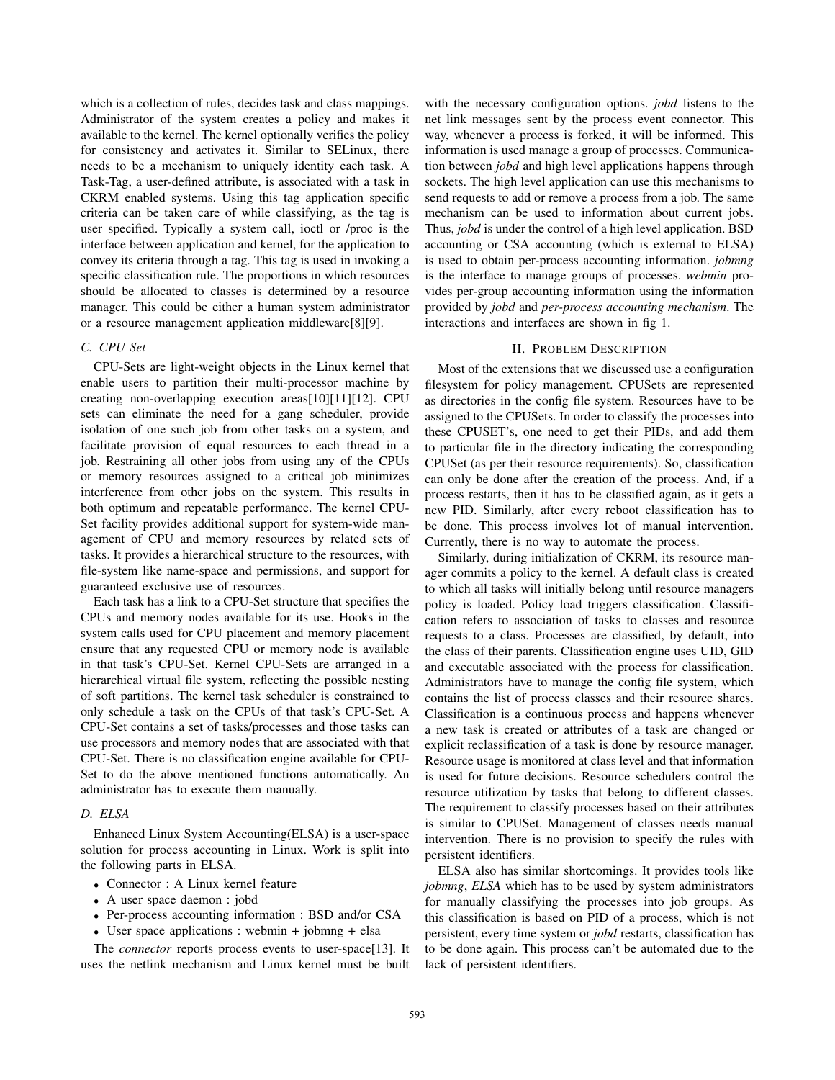which is a collection of rules, decides task and class mappings. Administrator of the system creates a policy and makes it available to the kernel. The kernel optionally verifies the policy for consistency and activates it. Similar to SELinux, there needs to be a mechanism to uniquely identity each task. A Task-Tag, a user-defined attribute, is associated with a task in CKRM enabled systems. Using this tag application specific criteria can be taken care of while classifying, as the tag is user specified. Typically a system call, ioctl or /proc is the interface between application and kernel, for the application to convey its criteria through a tag. This tag is used in invoking a specific classification rule. The proportions in which resources should be allocated to classes is determined by a resource manager. This could be either a human system administrator or a resource management application middleware[8][9].

## *C. CPU Set*

CPU-Sets are light-weight objects in the Linux kernel that enable users to partition their multi-processor machine by creating non-overlapping execution areas[10][11][12]. CPU sets can eliminate the need for a gang scheduler, provide isolation of one such job from other tasks on a system, and facilitate provision of equal resources to each thread in a job. Restraining all other jobs from using any of the CPUs or memory resources assigned to a critical job minimizes interference from other jobs on the system. This results in both optimum and repeatable performance. The kernel CPU-Set facility provides additional support for system-wide management of CPU and memory resources by related sets of tasks. It provides a hierarchical structure to the resources, with file-system like name-space and permissions, and support for guaranteed exclusive use of resources.

Each task has a link to a CPU-Set structure that specifies the CPUs and memory nodes available for its use. Hooks in the system calls used for CPU placement and memory placement ensure that any requested CPU or memory node is available in that task's CPU-Set. Kernel CPU-Sets are arranged in a hierarchical virtual file system, reflecting the possible nesting of soft partitions. The kernel task scheduler is constrained to only schedule a task on the CPUs of that task's CPU-Set. A CPU-Set contains a set of tasks/processes and those tasks can use processors and memory nodes that are associated with that CPU-Set. There is no classification engine available for CPU-Set to do the above mentioned functions automatically. An administrator has to execute them manually.

# *D. ELSA*

Enhanced Linux System Accounting(ELSA) is a user-space solution for process accounting in Linux. Work is split into the following parts in ELSA.

- Connector : A Linux kernel feature
- A user space daemon : jobd
- Per-process accounting information : BSD and/or CSA
- User space applications : webmin + jobmng + elsa

The *connector* reports process events to user-space[13]. It uses the netlink mechanism and Linux kernel must be built

with the necessary configuration options. *jobd* listens to the net link messages sent by the process event connector. This way, whenever a process is forked, it will be informed. This information is used manage a group of processes. Communication between *jobd* and high level applications happens through sockets. The high level application can use this mechanisms to send requests to add or remove a process from a job. The same mechanism can be used to information about current jobs. Thus, *jobd* is under the control of a high level application. BSD accounting or CSA accounting (which is external to ELSA) is used to obtain per-process accounting information. *jobmng* is the interface to manage groups of processes. *webmin* provides per-group accounting information using the information provided by *jobd* and *per-process accounting mechanism*. The interactions and interfaces are shown in fig 1.

## II. PROBLEM DESCRIPTION

Most of the extensions that we discussed use a configuration filesystem for policy management. CPUSets are represented as directories in the config file system. Resources have to be assigned to the CPUSets. In order to classify the processes into these CPUSET's, one need to get their PIDs, and add them to particular file in the directory indicating the corresponding CPUSet (as per their resource requirements). So, classification can only be done after the creation of the process. And, if a process restarts, then it has to be classified again, as it gets a new PID. Similarly, after every reboot classification has to be done. This process involves lot of manual intervention. Currently, there is no way to automate the process.

Similarly, during initialization of CKRM, its resource manager commits a policy to the kernel. A default class is created to which all tasks will initially belong until resource managers policy is loaded. Policy load triggers classification. Classification refers to association of tasks to classes and resource requests to a class. Processes are classified, by default, into the class of their parents. Classification engine uses UID, GID and executable associated with the process for classification. Administrators have to manage the config file system, which contains the list of process classes and their resource shares. Classification is a continuous process and happens whenever a new task is created or attributes of a task are changed or explicit reclassification of a task is done by resource manager. Resource usage is monitored at class level and that information is used for future decisions. Resource schedulers control the resource utilization by tasks that belong to different classes. The requirement to classify processes based on their attributes is similar to CPUSet. Management of classes needs manual intervention. There is no provision to specify the rules with persistent identifiers.

ELSA also has similar shortcomings. It provides tools like *jobmng*, *ELSA* which has to be used by system administrators for manually classifying the processes into job groups. As this classification is based on PID of a process, which is not persistent, every time system or *jobd* restarts, classification has to be done again. This process can't be automated due to the lack of persistent identifiers.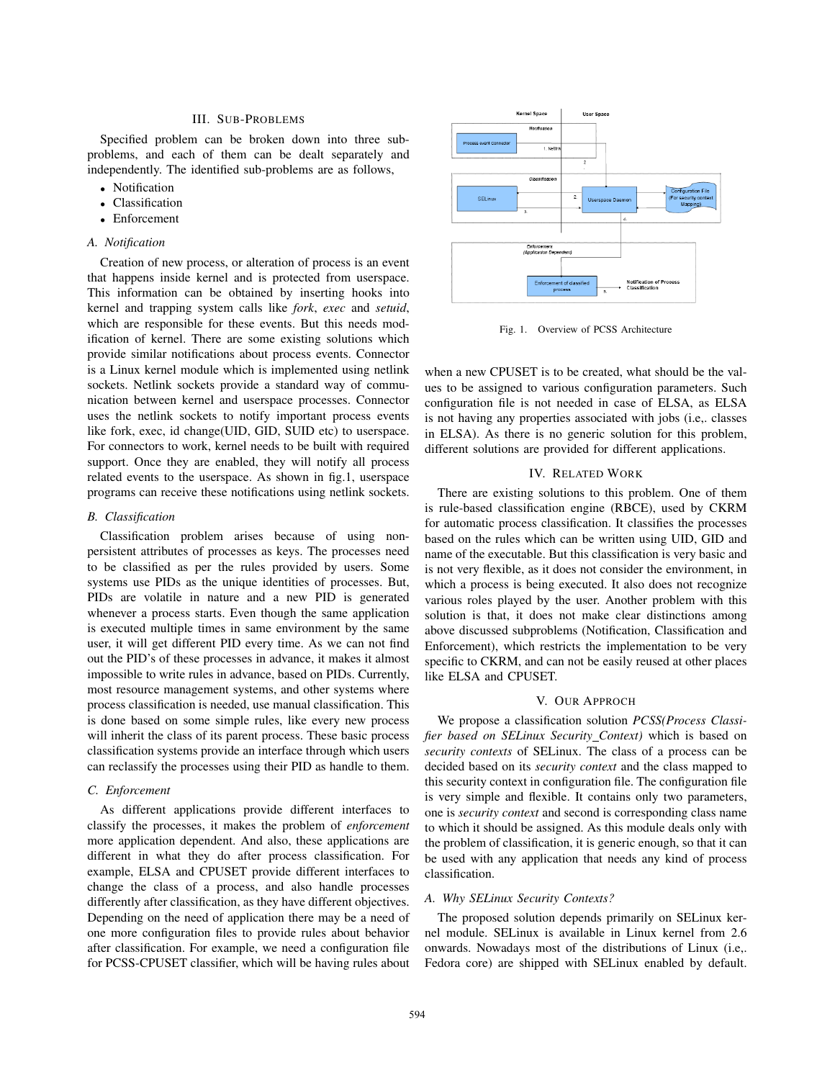# III. SUB-PROBLEMS

Specified problem can be broken down into three subproblems, and each of them can be dealt separately and independently. The identified sub-problems are as follows,

- Notification
- Classification
- Enforcement

## *A. Notification*

Creation of new process, or alteration of process is an event that happens inside kernel and is protected from userspace. This information can be obtained by inserting hooks into kernel and trapping system calls like *fork*, *exec* and *setuid*, which are responsible for these events. But this needs modification of kernel. There are some existing solutions which provide similar notifications about process events. Connector is a Linux kernel module which is implemented using netlink sockets. Netlink sockets provide a standard way of communication between kernel and userspace processes. Connector uses the netlink sockets to notify important process events like fork, exec, id change(UID, GID, SUID etc) to userspace. For connectors to work, kernel needs to be built with required support. Once they are enabled, they will notify all process related events to the userspace. As shown in fig.1, userspace programs can receive these notifications using netlink sockets.

#### *B. Classification*

Classification problem arises because of using nonpersistent attributes of processes as keys. The processes need to be classified as per the rules provided by users. Some systems use PIDs as the unique identities of processes. But, PIDs are volatile in nature and a new PID is generated whenever a process starts. Even though the same application is executed multiple times in same environment by the same user, it will get different PID every time. As we can not find out the PID's of these processes in advance, it makes it almost impossible to write rules in advance, based on PIDs. Currently, most resource management systems, and other systems where process classification is needed, use manual classification. This is done based on some simple rules, like every new process will inherit the class of its parent process. These basic process classification systems provide an interface through which users can reclassify the processes using their PID as handle to them.

# *C. Enforcement*

As different applications provide different interfaces to classify the processes, it makes the problem of *enforcement* more application dependent. And also, these applications are different in what they do after process classification. For example, ELSA and CPUSET provide different interfaces to change the class of a process, and also handle processes differently after classification, as they have different objectives. Depending on the need of application there may be a need of one more configuration files to provide rules about behavior after classification. For example, we need a configuration file for PCSS-CPUSET classifier, which will be having rules about



Fig. 1. Overview of PCSS Architecture

when a new CPUSET is to be created, what should be the values to be assigned to various configuration parameters. Such configuration file is not needed in case of ELSA, as ELSA is not having any properties associated with jobs (i.e,. classes in ELSA). As there is no generic solution for this problem, different solutions are provided for different applications.

# IV. RELATED WORK

There are existing solutions to this problem. One of them is rule-based classification engine (RBCE), used by CKRM for automatic process classification. It classifies the processes based on the rules which can be written using UID, GID and name of the executable. But this classification is very basic and is not very flexible, as it does not consider the environment, in which a process is being executed. It also does not recognize various roles played by the user. Another problem with this solution is that, it does not make clear distinctions among above discussed subproblems (Notification, Classification and Enforcement), which restricts the implementation to be very specific to CKRM, and can not be easily reused at other places like ELSA and CPUSET.

#### V. OUR APPROCH

We propose a classification solution *PCSS(Process Classifier based on SELinux Security Context)* which is based on *security contexts* of SELinux. The class of a process can be decided based on its *security context* and the class mapped to this security context in configuration file. The configuration file is very simple and flexible. It contains only two parameters, one is *security context* and second is corresponding class name to which it should be assigned. As this module deals only with the problem of classification, it is generic enough, so that it can be used with any application that needs any kind of process classification.

#### *A. Why SELinux Security Contexts?*

The proposed solution depends primarily on SELinux kernel module. SELinux is available in Linux kernel from 2.6 onwards. Nowadays most of the distributions of Linux (i.e,. Fedora core) are shipped with SELinux enabled by default.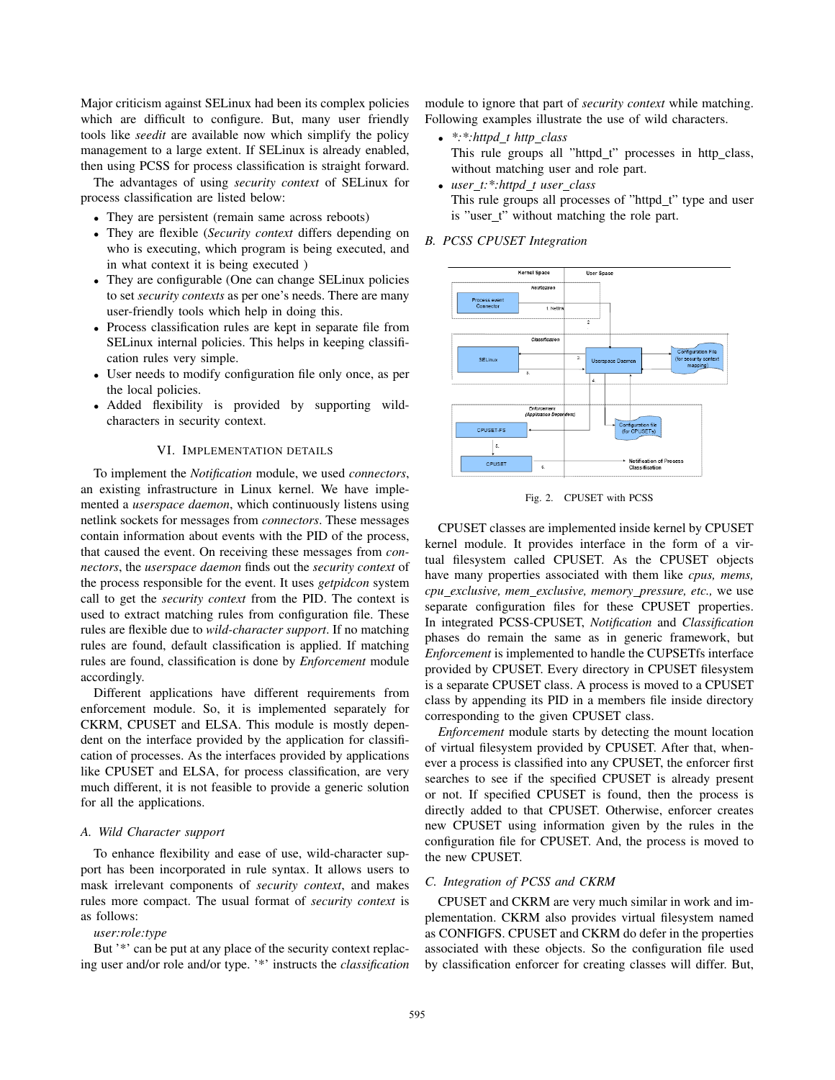Major criticism against SELinux had been its complex policies which are difficult to configure. But, many user friendly tools like *seedit* are available now which simplify the policy management to a large extent. If SELinux is already enabled, then using PCSS for process classification is straight forward.

The advantages of using *security context* of SELinux for process classification are listed below:

- They are persistent (remain same across reboots)
- They are flexible (*Security context* differs depending on who is executing, which program is being executed, and in what context it is being executed )
- They are configurable (One can change SELinux policies to set *security contexts* as per one's needs. There are many user-friendly tools which help in doing this.
- Process classification rules are kept in separate file from SELinux internal policies. This helps in keeping classification rules very simple.
- User needs to modify configuration file only once, as per the local policies.
- Added flexibility is provided by supporting wildcharacters in security context.

# VI. IMPLEMENTATION DETAILS

To implement the *Notification* module, we used *connectors*, an existing infrastructure in Linux kernel. We have implemented a *userspace daemon*, which continuously listens using netlink sockets for messages from *connectors*. These messages contain information about events with the PID of the process, that caused the event. On receiving these messages from *connectors*, the *userspace daemon* finds out the *security context* of the process responsible for the event. It uses *getpidcon* system call to get the *security context* from the PID. The context is used to extract matching rules from configuration file. These rules are flexible due to *wild-character support*. If no matching rules are found, default classification is applied. If matching rules are found, classification is done by *Enforcement* module accordingly.

Different applications have different requirements from enforcement module. So, it is implemented separately for CKRM, CPUSET and ELSA. This module is mostly dependent on the interface provided by the application for classification of processes. As the interfaces provided by applications like CPUSET and ELSA, for process classification, are very much different, it is not feasible to provide a generic solution for all the applications.

# *A. Wild Character support*

To enhance flexibility and ease of use, wild-character support has been incorporated in rule syntax. It allows users to mask irrelevant components of *security context*, and makes rules more compact. The usual format of *security context* is as follows:

# *user:role:type*

But '\*' can be put at any place of the security context replacing user and/or role and/or type. '\*' instructs the *classification* module to ignore that part of *security context* while matching. Following examples illustrate the use of wild characters.

- *\*:\*:httpd t http class* This rule groups all "httpd\_t" processes in http\_class, without matching user and role part.
- *user t:\*:httpd t user class* This rule groups all processes of "httpd t" type and user is "user\_t" without matching the role part.

# *B. PCSS CPUSET Integration*



Fig. 2. CPUSET with PCSS

CPUSET classes are implemented inside kernel by CPUSET kernel module. It provides interface in the form of a virtual filesystem called CPUSET. As the CPUSET objects have many properties associated with them like *cpus, mems, cpu exclusive, mem exclusive, memory pressure, etc.,* we use separate configuration files for these CPUSET properties. In integrated PCSS-CPUSET, *Notification* and *Classification* phases do remain the same as in generic framework, but *Enforcement* is implemented to handle the CUPSETfs interface provided by CPUSET. Every directory in CPUSET filesystem is a separate CPUSET class. A process is moved to a CPUSET class by appending its PID in a members file inside directory corresponding to the given CPUSET class.

*Enforcement* module starts by detecting the mount location of virtual filesystem provided by CPUSET. After that, whenever a process is classified into any CPUSET, the enforcer first searches to see if the specified CPUSET is already present or not. If specified CPUSET is found, then the process is directly added to that CPUSET. Otherwise, enforcer creates new CPUSET using information given by the rules in the configuration file for CPUSET. And, the process is moved to the new CPUSET.

# *C. Integration of PCSS and CKRM*

CPUSET and CKRM are very much similar in work and implementation. CKRM also provides virtual filesystem named as CONFIGFS. CPUSET and CKRM do defer in the properties associated with these objects. So the configuration file used by classification enforcer for creating classes will differ. But,